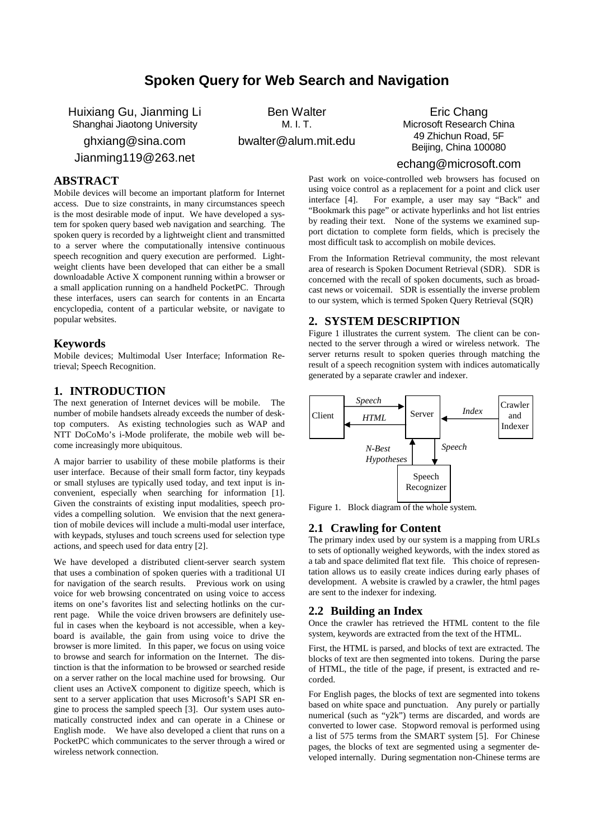# **Spoken Query for Web Search and Navigation**

Huixiang Gu, Jianming Li Shanghai Jiaotong University ghxiang@sina.com

Jianming119@263.net

Ben Walter  $M$  I. T.

bwalter@alum.mit.edu

Eric Chang Microsoft Research China 49 Zhichun Road, 5F Beijing, China 100080

# **ABSTRACT**

Mobile devices will become an important platform for Internet access. Due to size constraints, in many circumstances speech is the most desirable mode of input. We have developed a system for spoken query based web navigation and searching. The spoken query is recorded by a lightweight client and transmitted to a server where the computationally intensive continuous speech recognition and query execution are performed. Lightweight clients have been developed that can either be a small downloadable Active X component running within a browser or a small application running on a handheld PocketPC. Through these interfaces, users can search for contents in an Encarta encyclopedia, content of a particular website, or navigate to popular websites.

## **Keywords**

Mobile devices; Multimodal User Interface; Information Retrieval; Speech Recognition.

### **1. INTRODUCTION**

The next generation of Internet devices will be mobile. The number of mobile handsets already exceeds the number of desktop computers. As existing technologies such as WAP and NTT DoCoMo's i-Mode proliferate, the mobile web will become increasingly more ubiquitous.

A major barrier to usability of these mobile platforms is their user interface. Because of their small form factor, tiny keypads or small styluses are typically used today, and text input is inconvenient, especially when searching for information [1]. Given the constraints of existing input modalities, speech provides a compelling solution. We envision that the next generation of mobile devices will include a multi-modal user interface, with keypads, styluses and touch screens used for selection type actions, and speech used for data entry [2].

We have developed a distributed client-server search system that uses a combination of spoken queries with a traditional UI for navigation of the search results. Previous work on using voice for web browsing concentrated on using voice to access items on one's favorites list and selecting hotlinks on the current page. While the voice driven browsers are definitely useful in cases when the keyboard is not accessible, when a keyboard is available, the gain from using voice to drive the browser is more limited. In this paper, we focus on using voice to browse and search for information on the Internet. The distinction is that the information to be browsed or searched reside on a server rather on the local machine used for browsing. Our client uses an ActiveX component to digitize speech, which is sent to a server application that uses Microsoft's SAPI SR engine to process the sampled speech [3]. Our system uses automatically constructed index and can operate in a Chinese or English mode. We have also developed a client that runs on a PocketPC which communicates to the server through a wired or wireless network connection.

echang@microsoft.com

Past work on voice-controlled web browsers has focused on using voice control as a replacement for a point and click user interface [4]. For example, a user may say "Back" and "Bookmark this page" or activate hyperlinks and hot list entries by reading their text. None of the systems we examined support dictation to complete form fields, which is precisely the most difficult task to accomplish on mobile devices.

From the Information Retrieval community, the most relevant area of research is Spoken Document Retrieval (SDR). SDR is concerned with the recall of spoken documents, such as broadcast news or voicemail. SDR is essentially the inverse problem to our system, which is termed Spoken Query Retrieval (SQR)

# **2. SYSTEM DESCRIPTION**

Figure 1 illustrates the current system. The client can be connected to the server through a wired or wireless network. The server returns result to spoken queries through matching the result of a speech recognition system with indices automatically generated by a separate crawler and indexer.



Figure 1. Block diagram of the whole system.

### **2.1 Crawling for Content**

The primary index used by our system is a mapping from URLs to sets of optionally weighed keywords, with the index stored as a tab and space delimited flat text file. This choice of representation allows us to easily create indices during early phases of development. A website is crawled by a crawler, the html pages are sent to the indexer for indexing.

#### **2.2 Building an Index**

Once the crawler has retrieved the HTML content to the file system, keywords are extracted from the text of the HTML.

First, the HTML is parsed, and blocks of text are extracted. The blocks of text are then segmented into tokens. During the parse of HTML, the title of the page, if present, is extracted and recorded.

For English pages, the blocks of text are segmented into tokens based on white space and punctuation. Any purely or partially numerical (such as "y2k") terms are discarded, and words are converted to lower case. Stopword removal is performed using a list of 575 terms from the SMART system [5]. For Chinese pages, the blocks of text are segmented using a segmenter developed internally. During segmentation non-Chinese terms are